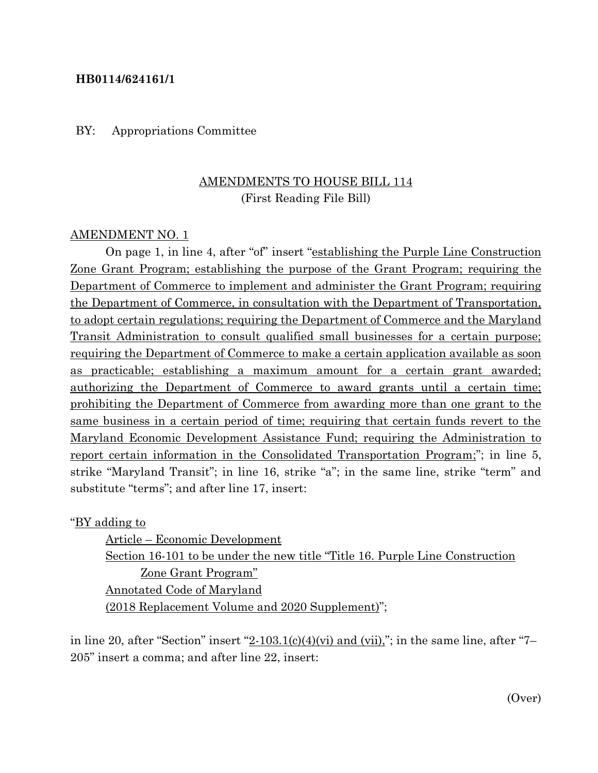### **HB0114/624161/1**

#### BY: Appropriations Committee

## AMENDMENTS TO HOUSE BILL 114 (First Reading File Bill)

#### AMENDMENT NO. 1

On page 1, in line 4, after "of" insert "establishing the Purple Line Construction Zone Grant Program; establishing the purpose of the Grant Program; requiring the Department of Commerce to implement and administer the Grant Program; requiring the Department of Commerce, in consultation with the Department of Transportation, to adopt certain regulations; requiring the Department of Commerce and the Maryland Transit Administration to consult qualified small businesses for a certain purpose; requiring the Department of Commerce to make a certain application available as soon as practicable; establishing a maximum amount for a certain grant awarded; authorizing the Department of Commerce to award grants until a certain time; prohibiting the Department of Commerce from awarding more than one grant to the same business in a certain period of time; requiring that certain funds revert to the Maryland Economic Development Assistance Fund; requiring the Administration to report certain information in the Consolidated Transportation Program;"; in line 5, strike "Maryland Transit"; in line 16, strike "a"; in the same line, strike "term" and substitute "terms"; and after line 17, insert:

"BY adding to

Article – Economic Development Section 16-101 to be under the new title "Title 16. Purple Line Construction Zone Grant Program" Annotated Code of Maryland (2018 Replacement Volume and 2020 Supplement)";

in line 20, after "Section" insert  $2-103.1(c)(4)(vi)$  and  $(vii)$ ,"; in the same line, after "7-205" insert a comma; and after line 22, insert: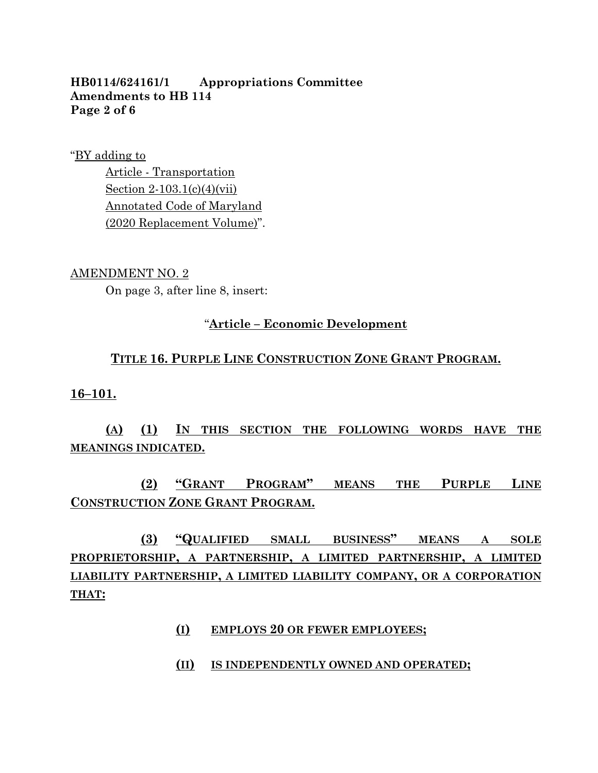## **HB0114/624161/1 Appropriations Committee Amendments to HB 114 Page 2 of 6**

"BY adding to

Article - Transportation Section 2-103.1(c)(4)(vii) Annotated Code of Maryland (2020 Replacement Volume)".

#### AMENDMENT NO. 2

On page 3, after line 8, insert:

## "**Article – Economic Development**

## **TITLE 16. PURPLE LINE CONSTRUCTION ZONE GRANT PROGRAM.**

**16–101.**

## **(A) (1) IN THIS SECTION THE FOLLOWING WORDS HAVE THE MEANINGS INDICATED.**

**(2) "GRANT PROGRAM" MEANS THE PURPLE LINE CONSTRUCTION ZONE GRANT PROGRAM.**

**(3) "QUALIFIED SMALL BUSINESS" MEANS A SOLE PROPRIETORSHIP, A PARTNERSHIP, A LIMITED PARTNERSHIP, A LIMITED LIABILITY PARTNERSHIP, A LIMITED LIABILITY COMPANY, OR A CORPORATION THAT:**

- **(I) EMPLOYS 20 OR FEWER EMPLOYEES;**
- **(II) IS INDEPENDENTLY OWNED AND OPERATED;**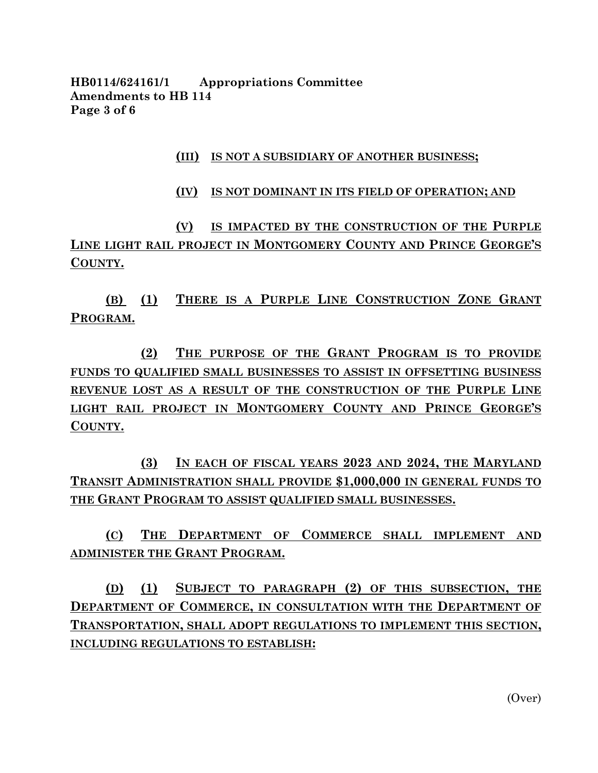**HB0114/624161/1 Appropriations Committee Amendments to HB 114 Page 3 of 6**

### **(III) IS NOT A SUBSIDIARY OF ANOTHER BUSINESS;**

#### **(IV) IS NOT DOMINANT IN ITS FIELD OF OPERATION; AND**

**(V) IS IMPACTED BY THE CONSTRUCTION OF THE PURPLE LINE LIGHT RAIL PROJECT IN MONTGOMERY COUNTY AND PRINCE GEORGE'S COUNTY.**

**(B) (1) THERE IS A PURPLE LINE CONSTRUCTION ZONE GRANT PROGRAM.**

**(2) THE PURPOSE OF THE GRANT PROGRAM IS TO PROVIDE FUNDS TO QUALIFIED SMALL BUSINESSES TO ASSIST IN OFFSETTING BUSINESS REVENUE LOST AS A RESULT OF THE CONSTRUCTION OF THE PURPLE LINE LIGHT RAIL PROJECT IN MONTGOMERY COUNTY AND PRINCE GEORGE'S COUNTY.**

**(3) IN EACH OF FISCAL YEARS 2023 AND 2024, THE MARYLAND TRANSIT ADMINISTRATION SHALL PROVIDE \$1,000,000 IN GENERAL FUNDS TO THE GRANT PROGRAM TO ASSIST QUALIFIED SMALL BUSINESSES.**

**(C) THE DEPARTMENT OF COMMERCE SHALL IMPLEMENT AND ADMINISTER THE GRANT PROGRAM.**

**(D) (1) SUBJECT TO PARAGRAPH (2) OF THIS SUBSECTION, THE DEPARTMENT OF COMMERCE, IN CONSULTATION WITH THE DEPARTMENT OF TRANSPORTATION, SHALL ADOPT REGULATIONS TO IMPLEMENT THIS SECTION, INCLUDING REGULATIONS TO ESTABLISH:**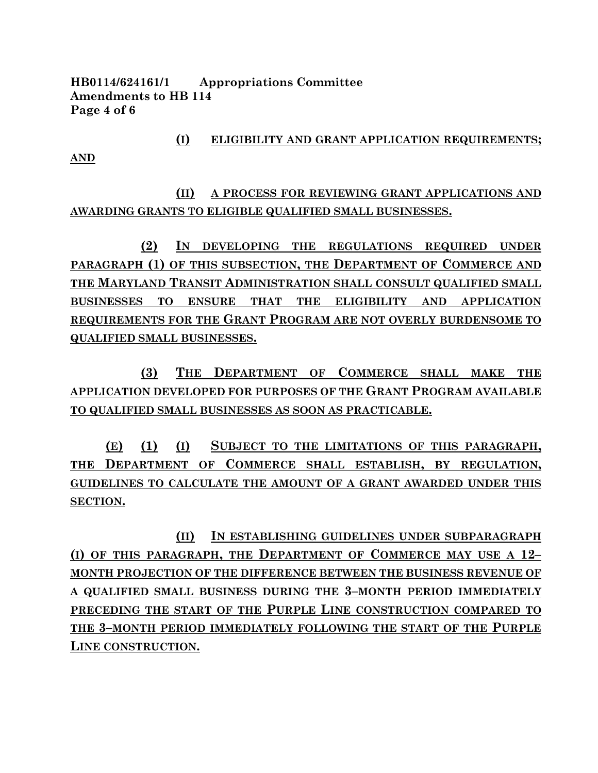**HB0114/624161/1 Appropriations Committee Amendments to HB 114 Page 4 of 6**

**AND**

**(I) ELIGIBILITY AND GRANT APPLICATION REQUIREMENTS;**

**(II) A PROCESS FOR REVIEWING GRANT APPLICATIONS AND AWARDING GRANTS TO ELIGIBLE QUALIFIED SMALL BUSINESSES.**

**(2) IN DEVELOPING THE REGULATIONS REQUIRED UNDER PARAGRAPH (1) OF THIS SUBSECTION, THE DEPARTMENT OF COMMERCE AND THE MARYLAND TRANSIT ADMINISTRATION SHALL CONSULT QUALIFIED SMALL BUSINESSES TO ENSURE THAT THE ELIGIBILITY AND APPLICATION REQUIREMENTS FOR THE GRANT PROGRAM ARE NOT OVERLY BURDENSOME TO QUALIFIED SMALL BUSINESSES.**

**(3) THE DEPARTMENT OF COMMERCE SHALL MAKE THE APPLICATION DEVELOPED FOR PURPOSES OF THE GRANT PROGRAM AVAILABLE TO QUALIFIED SMALL BUSINESSES AS SOON AS PRACTICABLE.**

**(E) (1) (I) SUBJECT TO THE LIMITATIONS OF THIS PARAGRAPH, THE DEPARTMENT OF COMMERCE SHALL ESTABLISH, BY REGULATION, GUIDELINES TO CALCULATE THE AMOUNT OF A GRANT AWARDED UNDER THIS SECTION.**

**(II) IN ESTABLISHING GUIDELINES UNDER SUBPARAGRAPH (I) OF THIS PARAGRAPH, THE DEPARTMENT OF COMMERCE MAY USE A 12– MONTH PROJECTION OF THE DIFFERENCE BETWEEN THE BUSINESS REVENUE OF A QUALIFIED SMALL BUSINESS DURING THE 3–MONTH PERIOD IMMEDIATELY PRECEDING THE START OF THE PURPLE LINE CONSTRUCTION COMPARED TO THE 3–MONTH PERIOD IMMEDIATELY FOLLOWING THE START OF THE PURPLE LINE CONSTRUCTION.**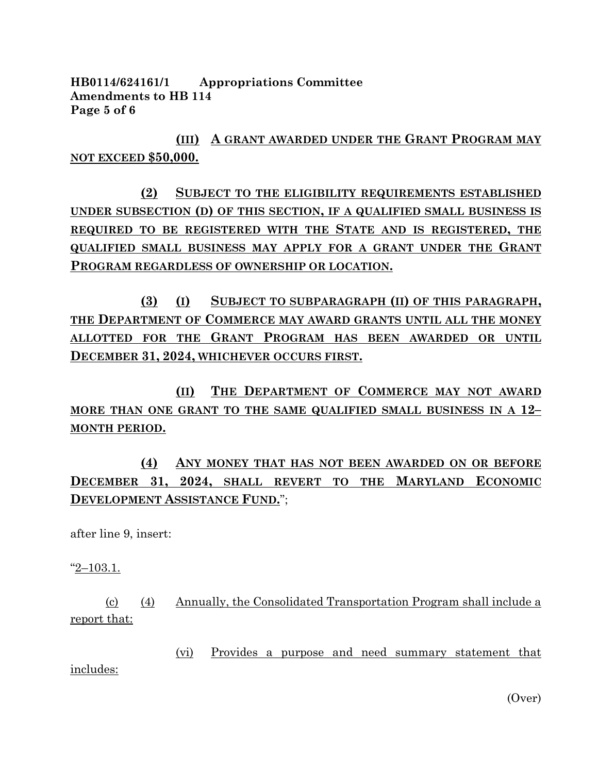**HB0114/624161/1 Appropriations Committee Amendments to HB 114 Page 5 of 6**

**(III) A GRANT AWARDED UNDER THE GRANT PROGRAM MAY NOT EXCEED \$50,000.**

**(2) SUBJECT TO THE ELIGIBILITY REQUIREMENTS ESTABLISHED UNDER SUBSECTION (D) OF THIS SECTION, IF A QUALIFIED SMALL BUSINESS IS REQUIRED TO BE REGISTERED WITH THE STATE AND IS REGISTERED, THE QUALIFIED SMALL BUSINESS MAY APPLY FOR A GRANT UNDER THE GRANT PROGRAM REGARDLESS OF OWNERSHIP OR LOCATION.**

**(3) (I) SUBJECT TO SUBPARAGRAPH (II) OF THIS PARAGRAPH, THE DEPARTMENT OF COMMERCE MAY AWARD GRANTS UNTIL ALL THE MONEY ALLOTTED FOR THE GRANT PROGRAM HAS BEEN AWARDED OR UNTIL DECEMBER 31, 2024, WHICHEVER OCCURS FIRST.**

**(II) THE DEPARTMENT OF COMMERCE MAY NOT AWARD MORE THAN ONE GRANT TO THE SAME QUALIFIED SMALL BUSINESS IN A 12– MONTH PERIOD.**

**(4) ANY MONEY THAT HAS NOT BEEN AWARDED ON OR BEFORE DECEMBER 31, 2024, SHALL REVERT TO THE MARYLAND ECONOMIC DEVELOPMENT ASSISTANCE FUND.**";

after line 9, insert:

"2–103.1.

(c) (4) Annually, the Consolidated Transportation Program shall include a report that:

(vi) Provides a purpose and need summary statement that includes:

(Over)